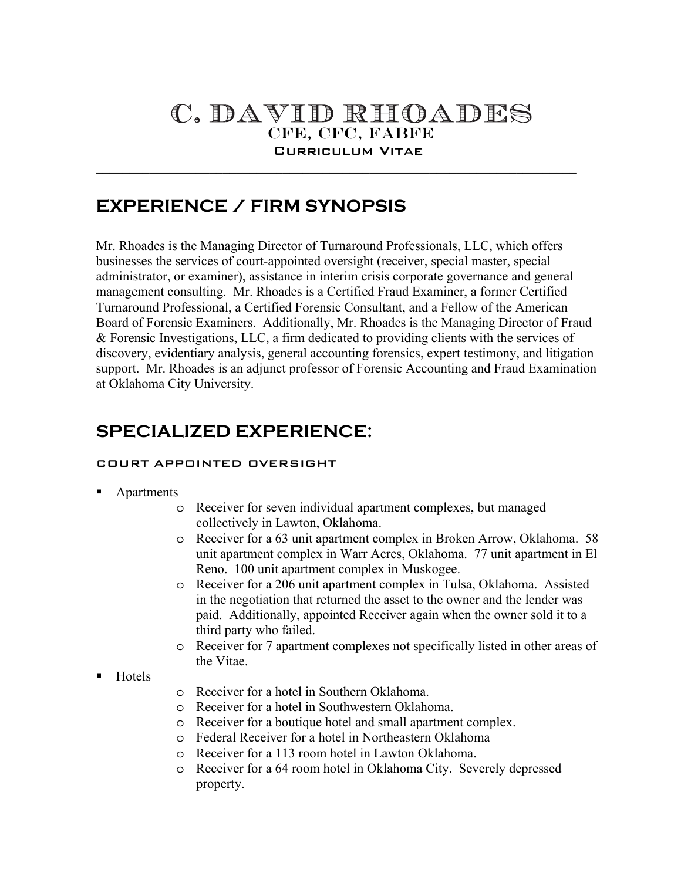# C. DAVID RHOADES Curriculum Vitae

 $\mathcal{L}_\text{max} = \mathcal{L}_\text{max} = \mathcal{L}_\text{max} = \mathcal{L}_\text{max} = \mathcal{L}_\text{max} = \mathcal{L}_\text{max} = \mathcal{L}_\text{max} = \mathcal{L}_\text{max} = \mathcal{L}_\text{max} = \mathcal{L}_\text{max} = \mathcal{L}_\text{max} = \mathcal{L}_\text{max} = \mathcal{L}_\text{max} = \mathcal{L}_\text{max} = \mathcal{L}_\text{max} = \mathcal{L}_\text{max} = \mathcal{L}_\text{max} = \mathcal{L}_\text{max} = \mathcal{$ 

## **EXPERIENCE / FIRM SYNOPSIS**

Mr. Rhoades is the Managing Director of Turnaround Professionals, LLC, which offers businesses the services of court-appointed oversight (receiver, special master, special administrator, or examiner), assistance in interim crisis corporate governance and general management consulting. Mr. Rhoades is a Certified Fraud Examiner, a former Certified Turnaround Professional, a Certified Forensic Consultant, and a Fellow of the American Board of Forensic Examiners. Additionally, Mr. Rhoades is the Managing Director of Fraud & Forensic Investigations, LLC, a firm dedicated to providing clients with the services of discovery, evidentiary analysis, general accounting forensics, expert testimony, and litigation support. Mr. Rhoades is an adjunct professor of Forensic Accounting and Fraud Examination at Oklahoma City University.

## **SPECIALIZED EXPERIENCE:**

#### COURT APPOINTED OVERSIGHT

#### Apartments

- o Receiver for seven individual apartment complexes, but managed collectively in Lawton, Oklahoma.
- o Receiver for a 63 unit apartment complex in Broken Arrow, Oklahoma. 58 unit apartment complex in Warr Acres, Oklahoma. 77 unit apartment in El Reno. 100 unit apartment complex in Muskogee.
- o Receiver for a 206 unit apartment complex in Tulsa, Oklahoma. Assisted in the negotiation that returned the asset to the owner and the lender was paid. Additionally, appointed Receiver again when the owner sold it to a third party who failed.
- o Receiver for 7 apartment complexes not specifically listed in other areas of the Vitae.
- Hotels
- o Receiver for a hotel in Southern Oklahoma.
- o Receiver for a hotel in Southwestern Oklahoma.
- o Receiver for a boutique hotel and small apartment complex.
- o Federal Receiver for a hotel in Northeastern Oklahoma
- o Receiver for a 113 room hotel in Lawton Oklahoma.
- o Receiver for a 64 room hotel in Oklahoma City. Severely depressed property.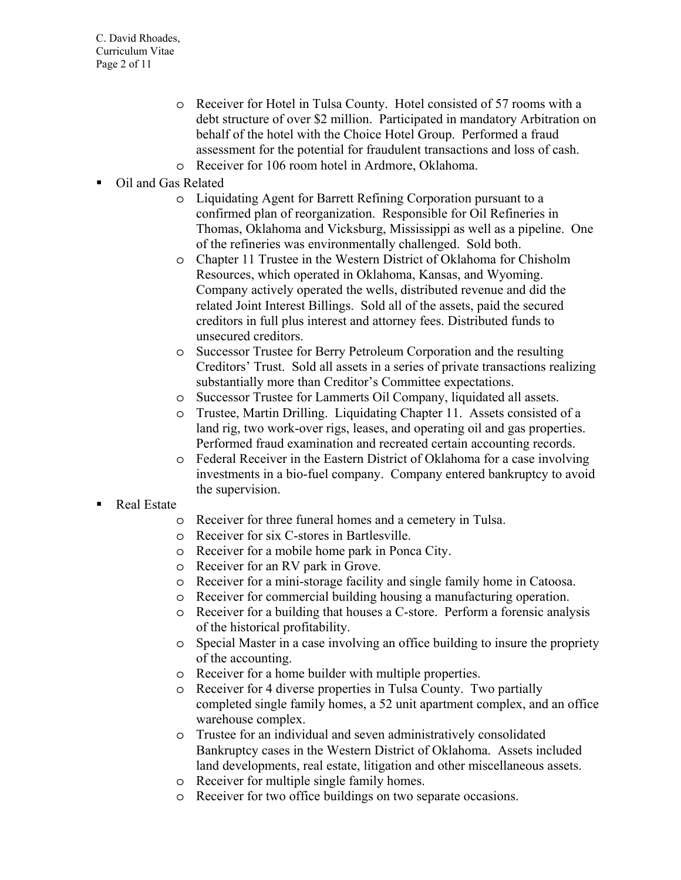- o Receiver for Hotel in Tulsa County. Hotel consisted of 57 rooms with a debt structure of over \$2 million. Participated in mandatory Arbitration on behalf of the hotel with the Choice Hotel Group. Performed a fraud assessment for the potential for fraudulent transactions and loss of cash.
- o Receiver for 106 room hotel in Ardmore, Oklahoma.
- Oil and Gas Related
	- o Liquidating Agent for Barrett Refining Corporation pursuant to a confirmed plan of reorganization. Responsible for Oil Refineries in Thomas, Oklahoma and Vicksburg, Mississippi as well as a pipeline. One of the refineries was environmentally challenged. Sold both.
	- o Chapter 11 Trustee in the Western District of Oklahoma for Chisholm Resources, which operated in Oklahoma, Kansas, and Wyoming. Company actively operated the wells, distributed revenue and did the related Joint Interest Billings. Sold all of the assets, paid the secured creditors in full plus interest and attorney fees. Distributed funds to unsecured creditors.
	- o Successor Trustee for Berry Petroleum Corporation and the resulting Creditors' Trust. Sold all assets in a series of private transactions realizing substantially more than Creditor's Committee expectations.
	- o Successor Trustee for Lammerts Oil Company, liquidated all assets.
	- o Trustee, Martin Drilling. Liquidating Chapter 11. Assets consisted of a land rig, two work-over rigs, leases, and operating oil and gas properties. Performed fraud examination and recreated certain accounting records.
	- o Federal Receiver in the Eastern District of Oklahoma for a case involving investments in a bio-fuel company. Company entered bankruptcy to avoid the supervision.

#### Real Estate

- o Receiver for three funeral homes and a cemetery in Tulsa.
- o Receiver for six C-stores in Bartlesville.
- o Receiver for a mobile home park in Ponca City.
- o Receiver for an RV park in Grove.
- o Receiver for a mini-storage facility and single family home in Catoosa.
- o Receiver for commercial building housing a manufacturing operation.
- o Receiver for a building that houses a C-store. Perform a forensic analysis of the historical profitability.
- o Special Master in a case involving an office building to insure the propriety of the accounting.
- o Receiver for a home builder with multiple properties.
- o Receiver for 4 diverse properties in Tulsa County. Two partially completed single family homes, a 52 unit apartment complex, and an office warehouse complex.
- o Trustee for an individual and seven administratively consolidated Bankruptcy cases in the Western District of Oklahoma. Assets included land developments, real estate, litigation and other miscellaneous assets.
- o Receiver for multiple single family homes.
- o Receiver for two office buildings on two separate occasions.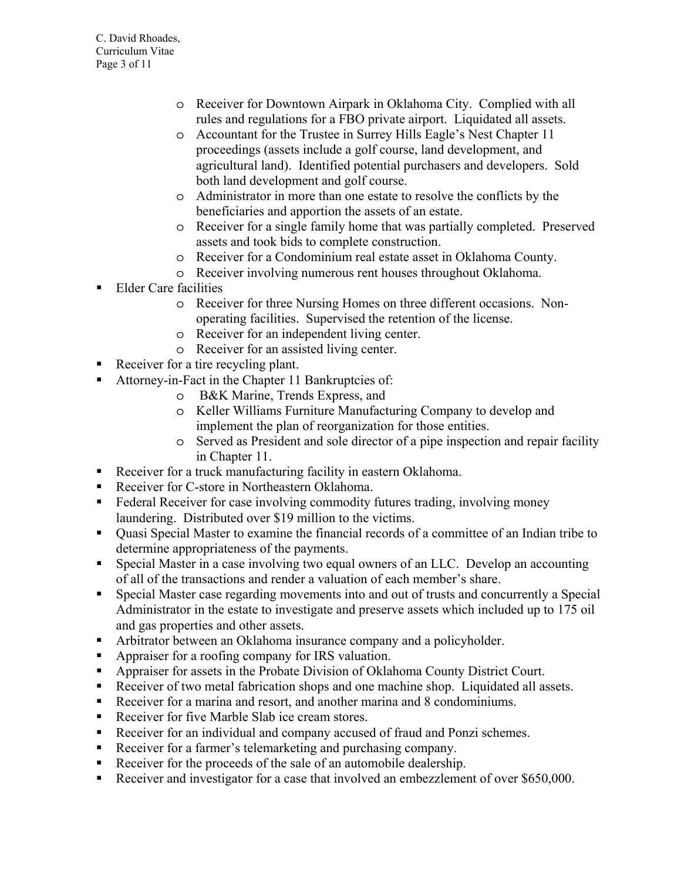- o Receiver for Downtown Airpark in Oklahoma City. Complied with all rules and regulations for a FBO private airport. Liquidated all assets.
- o Accountant for the Trustee in Surrey Hills Eagle's Nest Chapter 11 proceedings (assets include a golf course, land development, and agricultural land). Identified potential purchasers and developers. Sold both land development and golf course.
- o Administrator in more than one estate to resolve the conflicts by the beneficiaries and apportion the assets of an estate.
- o Receiver for a single family home that was partially completed. Preserved assets and took bids to complete construction.
- o Receiver for a Condominium real estate asset in Oklahoma County.
- o Receiver involving numerous rent houses throughout Oklahoma.
- Elder Care facilities
	- o Receiver for three Nursing Homes on three different occasions. Nonoperating facilities. Supervised the retention of the license.
	- o Receiver for an independent living center.
	- o Receiver for an assisted living center.
- Receiver for a tire recycling plant.
- Attorney-in-Fact in the Chapter 11 Bankruptcies of:
	- o B&K Marine, Trends Express, and
	- o Keller Williams Furniture Manufacturing Company to develop and implement the plan of reorganization for those entities.
	- o Served as President and sole director of a pipe inspection and repair facility in Chapter 11.
- Receiver for a truck manufacturing facility in eastern Oklahoma.
- Receiver for C-store in Northeastern Oklahoma.
- Federal Receiver for case involving commodity futures trading, involving money laundering. Distributed over \$19 million to the victims.
- Quasi Special Master to examine the financial records of a committee of an Indian tribe to determine appropriateness of the payments.
- Special Master in a case involving two equal owners of an LLC. Develop an accounting of all of the transactions and render a valuation of each member's share.
- Special Master case regarding movements into and out of trusts and concurrently a Special Administrator in the estate to investigate and preserve assets which included up to 175 oil and gas properties and other assets.
- Arbitrator between an Oklahoma insurance company and a policyholder.
- Appraiser for a roofing company for IRS valuation.
- Appraiser for assets in the Probate Division of Oklahoma County District Court.
- Receiver of two metal fabrication shops and one machine shop. Liquidated all assets.
- Receiver for a marina and resort, and another marina and 8 condominiums.
- Receiver for five Marble Slab ice cream stores.
- Receiver for an individual and company accused of fraud and Ponzi schemes.
- Receiver for a farmer's telemarketing and purchasing company.
- Receiver for the proceeds of the sale of an automobile dealership.
- Receiver and investigator for a case that involved an embezzlement of over \$650,000.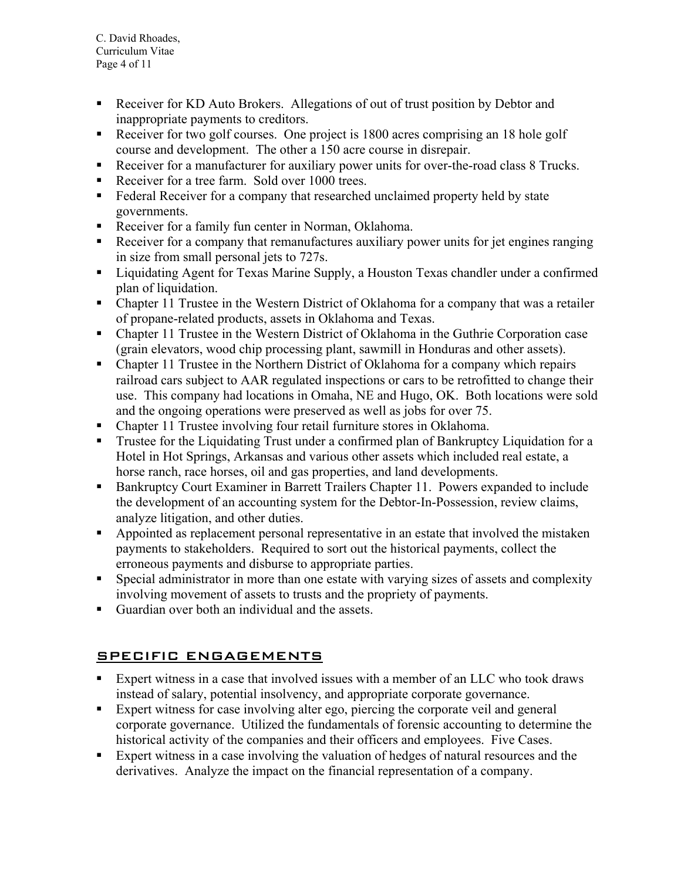C. David Rhoades, Curriculum Vitae Page 4 of 11

- Receiver for KD Auto Brokers. Allegations of out of trust position by Debtor and inappropriate payments to creditors.
- Receiver for two golf courses. One project is 1800 acres comprising an 18 hole golf course and development. The other a 150 acre course in disrepair.
- Receiver for a manufacturer for auxiliary power units for over-the-road class 8 Trucks.
- Receiver for a tree farm. Sold over 1000 trees.
- Federal Receiver for a company that researched unclaimed property held by state governments.
- Receiver for a family fun center in Norman, Oklahoma.
- Receiver for a company that remanufactures auxiliary power units for jet engines ranging in size from small personal jets to 727s.
- **Example 1** Liquidating Agent for Texas Marine Supply, a Houston Texas chandler under a confirmed plan of liquidation.
- Chapter 11 Trustee in the Western District of Oklahoma for a company that was a retailer of propane-related products, assets in Oklahoma and Texas.
- Chapter 11 Trustee in the Western District of Oklahoma in the Guthrie Corporation case (grain elevators, wood chip processing plant, sawmill in Honduras and other assets).
- Chapter 11 Trustee in the Northern District of Oklahoma for a company which repairs railroad cars subject to AAR regulated inspections or cars to be retrofitted to change their use. This company had locations in Omaha, NE and Hugo, OK. Both locations were sold and the ongoing operations were preserved as well as jobs for over 75.
- Chapter 11 Trustee involving four retail furniture stores in Oklahoma.
- **Trustee for the Liquidating Trust under a confirmed plan of Bankruptcy Liquidation for a** Hotel in Hot Springs, Arkansas and various other assets which included real estate, a horse ranch, race horses, oil and gas properties, and land developments.
- Bankruptcy Court Examiner in Barrett Trailers Chapter 11. Powers expanded to include the development of an accounting system for the Debtor-In-Possession, review claims, analyze litigation, and other duties.
- Appointed as replacement personal representative in an estate that involved the mistaken payments to stakeholders. Required to sort out the historical payments, collect the erroneous payments and disburse to appropriate parties.
- Special administrator in more than one estate with varying sizes of assets and complexity involving movement of assets to trusts and the propriety of payments.
- Guardian over both an individual and the assets.

## SPECIFIC ENGAGEMENTS

- Expert witness in a case that involved issues with a member of an LLC who took draws instead of salary, potential insolvency, and appropriate corporate governance.
- Expert witness for case involving alter ego, piercing the corporate veil and general corporate governance. Utilized the fundamentals of forensic accounting to determine the historical activity of the companies and their officers and employees. Five Cases.
- Expert witness in a case involving the valuation of hedges of natural resources and the derivatives. Analyze the impact on the financial representation of a company.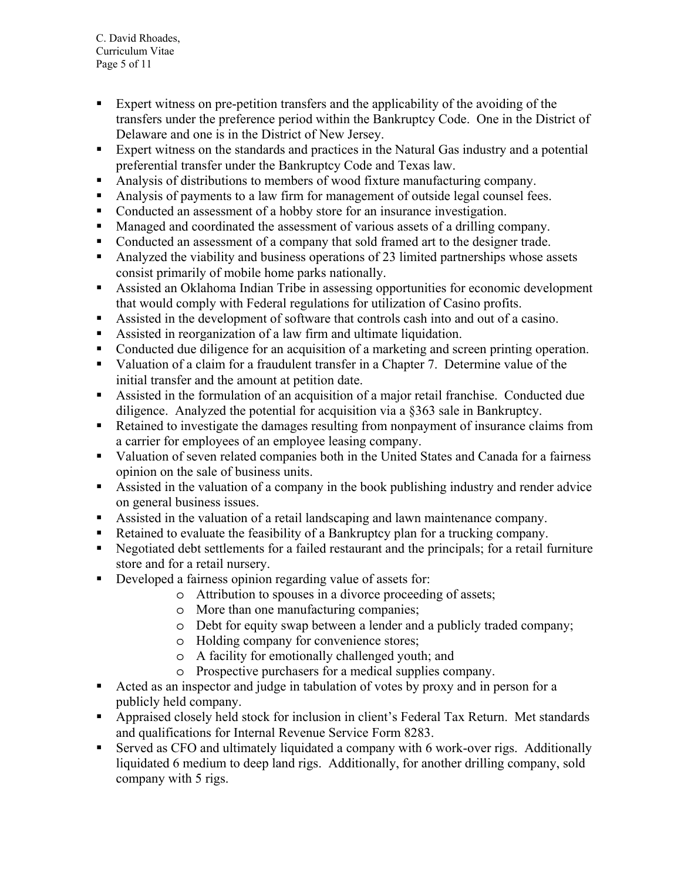C. David Rhoades, Curriculum Vitae Page 5 of 11

- Expert witness on pre-petition transfers and the applicability of the avoiding of the transfers under the preference period within the Bankruptcy Code. One in the District of Delaware and one is in the District of New Jersey.
- Expert witness on the standards and practices in the Natural Gas industry and a potential preferential transfer under the Bankruptcy Code and Texas law.
- Analysis of distributions to members of wood fixture manufacturing company.
- Analysis of payments to a law firm for management of outside legal counsel fees.
- Conducted an assessment of a hobby store for an insurance investigation.
- Managed and coordinated the assessment of various assets of a drilling company.
- Conducted an assessment of a company that sold framed art to the designer trade.
- Analyzed the viability and business operations of 23 limited partnerships whose assets consist primarily of mobile home parks nationally.
- Assisted an Oklahoma Indian Tribe in assessing opportunities for economic development that would comply with Federal regulations for utilization of Casino profits.
- Assisted in the development of software that controls cash into and out of a casino.
- Assisted in reorganization of a law firm and ultimate liquidation.
- Conducted due diligence for an acquisition of a marketing and screen printing operation.
- Valuation of a claim for a fraudulent transfer in a Chapter 7. Determine value of the initial transfer and the amount at petition date.
- Assisted in the formulation of an acquisition of a major retail franchise. Conducted due diligence. Analyzed the potential for acquisition via a §363 sale in Bankruptcy.
- Retained to investigate the damages resulting from nonpayment of insurance claims from a carrier for employees of an employee leasing company.
- Valuation of seven related companies both in the United States and Canada for a fairness opinion on the sale of business units.
- Assisted in the valuation of a company in the book publishing industry and render advice on general business issues.
- Assisted in the valuation of a retail landscaping and lawn maintenance company.
- Retained to evaluate the feasibility of a Bankruptcy plan for a trucking company.
- Negotiated debt settlements for a failed restaurant and the principals; for a retail furniture store and for a retail nursery.
- Developed a fairness opinion regarding value of assets for:
	- o Attribution to spouses in a divorce proceeding of assets;
	- o More than one manufacturing companies;
	- o Debt for equity swap between a lender and a publicly traded company;
	- o Holding company for convenience stores;
	- o A facility for emotionally challenged youth; and
	- o Prospective purchasers for a medical supplies company.
- Acted as an inspector and judge in tabulation of votes by proxy and in person for a publicly held company.
- Appraised closely held stock for inclusion in client's Federal Tax Return. Met standards and qualifications for Internal Revenue Service Form 8283.
- Served as CFO and ultimately liquidated a company with 6 work-over rigs. Additionally liquidated 6 medium to deep land rigs. Additionally, for another drilling company, sold company with 5 rigs.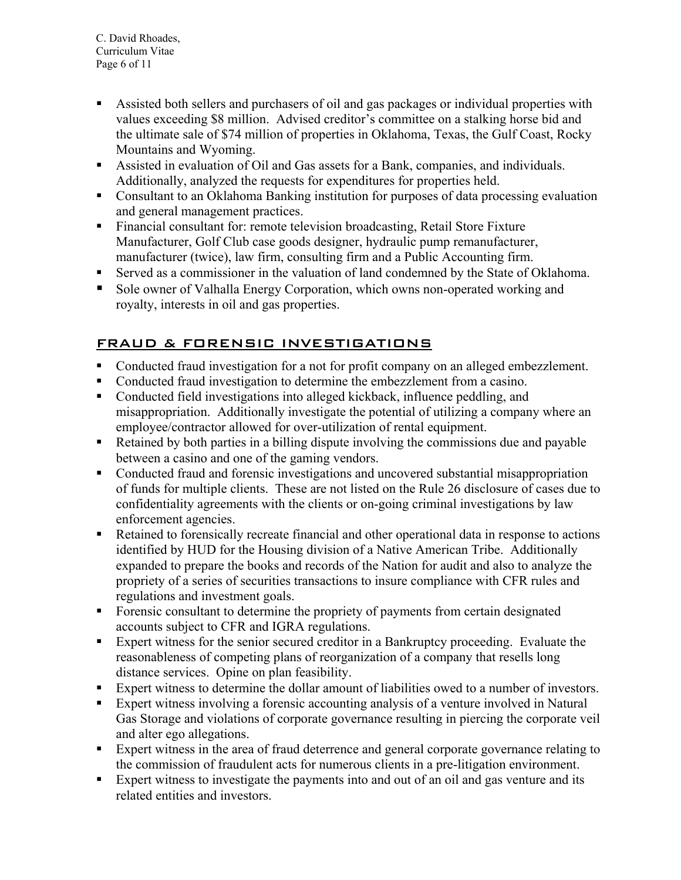C. David Rhoades, Curriculum Vitae Page 6 of 11

- Assisted both sellers and purchasers of oil and gas packages or individual properties with values exceeding \$8 million. Advised creditor's committee on a stalking horse bid and the ultimate sale of \$74 million of properties in Oklahoma, Texas, the Gulf Coast, Rocky Mountains and Wyoming.
- Assisted in evaluation of Oil and Gas assets for a Bank, companies, and individuals. Additionally, analyzed the requests for expenditures for properties held.
- Consultant to an Oklahoma Banking institution for purposes of data processing evaluation and general management practices.
- Financial consultant for: remote television broadcasting, Retail Store Fixture Manufacturer, Golf Club case goods designer, hydraulic pump remanufacturer, manufacturer (twice), law firm, consulting firm and a Public Accounting firm.
- Served as a commissioner in the valuation of land condemned by the State of Oklahoma.
- Sole owner of Valhalla Energy Corporation, which owns non-operated working and royalty, interests in oil and gas properties.

## FRAUD & FORENSIC INVESTIGATIONS

- Conducted fraud investigation for a not for profit company on an alleged embezzlement.
- Conducted fraud investigation to determine the embezzlement from a casino.
- Conducted field investigations into alleged kickback, influence peddling, and misappropriation. Additionally investigate the potential of utilizing a company where an employee/contractor allowed for over-utilization of rental equipment.
- Retained by both parties in a billing dispute involving the commissions due and payable between a casino and one of the gaming vendors.
- Conducted fraud and forensic investigations and uncovered substantial misappropriation of funds for multiple clients. These are not listed on the Rule 26 disclosure of cases due to confidentiality agreements with the clients or on-going criminal investigations by law enforcement agencies.
- Retained to forensically recreate financial and other operational data in response to actions identified by HUD for the Housing division of a Native American Tribe. Additionally expanded to prepare the books and records of the Nation for audit and also to analyze the propriety of a series of securities transactions to insure compliance with CFR rules and regulations and investment goals.
- Forensic consultant to determine the propriety of payments from certain designated accounts subject to CFR and IGRA regulations.
- Expert witness for the senior secured creditor in a Bankruptcy proceeding. Evaluate the reasonableness of competing plans of reorganization of a company that resells long distance services. Opine on plan feasibility.
- Expert witness to determine the dollar amount of liabilities owed to a number of investors.
- Expert witness involving a forensic accounting analysis of a venture involved in Natural Gas Storage and violations of corporate governance resulting in piercing the corporate veil and alter ego allegations.
- Expert witness in the area of fraud deterrence and general corporate governance relating to the commission of fraudulent acts for numerous clients in a pre-litigation environment.
- Expert witness to investigate the payments into and out of an oil and gas venture and its related entities and investors.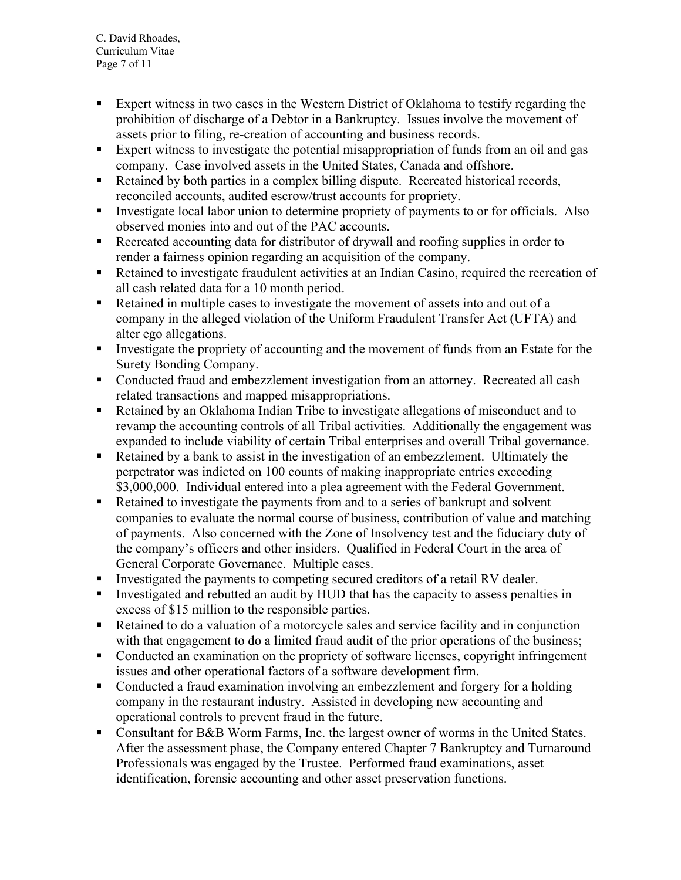C. David Rhoades, Curriculum Vitae Page 7 of 11

- Expert witness in two cases in the Western District of Oklahoma to testify regarding the prohibition of discharge of a Debtor in a Bankruptcy. Issues involve the movement of assets prior to filing, re-creation of accounting and business records.
- Expert witness to investigate the potential misappropriation of funds from an oil and gas company. Case involved assets in the United States, Canada and offshore.
- Retained by both parties in a complex billing dispute. Recreated historical records, reconciled accounts, audited escrow/trust accounts for propriety.
- Investigate local labor union to determine propriety of payments to or for officials. Also observed monies into and out of the PAC accounts.
- Recreated accounting data for distributor of drywall and roofing supplies in order to render a fairness opinion regarding an acquisition of the company.
- Retained to investigate fraudulent activities at an Indian Casino, required the recreation of all cash related data for a 10 month period.
- Retained in multiple cases to investigate the movement of assets into and out of a company in the alleged violation of the Uniform Fraudulent Transfer Act (UFTA) and alter ego allegations.
- Investigate the propriety of accounting and the movement of funds from an Estate for the Surety Bonding Company.
- Conducted fraud and embezzlement investigation from an attorney. Recreated all cash related transactions and mapped misappropriations.
- Retained by an Oklahoma Indian Tribe to investigate allegations of misconduct and to revamp the accounting controls of all Tribal activities. Additionally the engagement was expanded to include viability of certain Tribal enterprises and overall Tribal governance.
- Retained by a bank to assist in the investigation of an embezzlement. Ultimately the perpetrator was indicted on 100 counts of making inappropriate entries exceeding \$3,000,000. Individual entered into a plea agreement with the Federal Government.
- Retained to investigate the payments from and to a series of bankrupt and solvent companies to evaluate the normal course of business, contribution of value and matching of payments. Also concerned with the Zone of Insolvency test and the fiduciary duty of the company's officers and other insiders. Qualified in Federal Court in the area of General Corporate Governance. Multiple cases.
- Investigated the payments to competing secured creditors of a retail RV dealer.
- Investigated and rebutted an audit by HUD that has the capacity to assess penalties in excess of \$15 million to the responsible parties.
- Retained to do a valuation of a motorcycle sales and service facility and in conjunction with that engagement to do a limited fraud audit of the prior operations of the business;
- Conducted an examination on the propriety of software licenses, copyright infringement issues and other operational factors of a software development firm.
- Conducted a fraud examination involving an embezzlement and forgery for a holding company in the restaurant industry. Assisted in developing new accounting and operational controls to prevent fraud in the future.
- Consultant for B&B Worm Farms, Inc. the largest owner of worms in the United States. After the assessment phase, the Company entered Chapter 7 Bankruptcy and Turnaround Professionals was engaged by the Trustee. Performed fraud examinations, asset identification, forensic accounting and other asset preservation functions.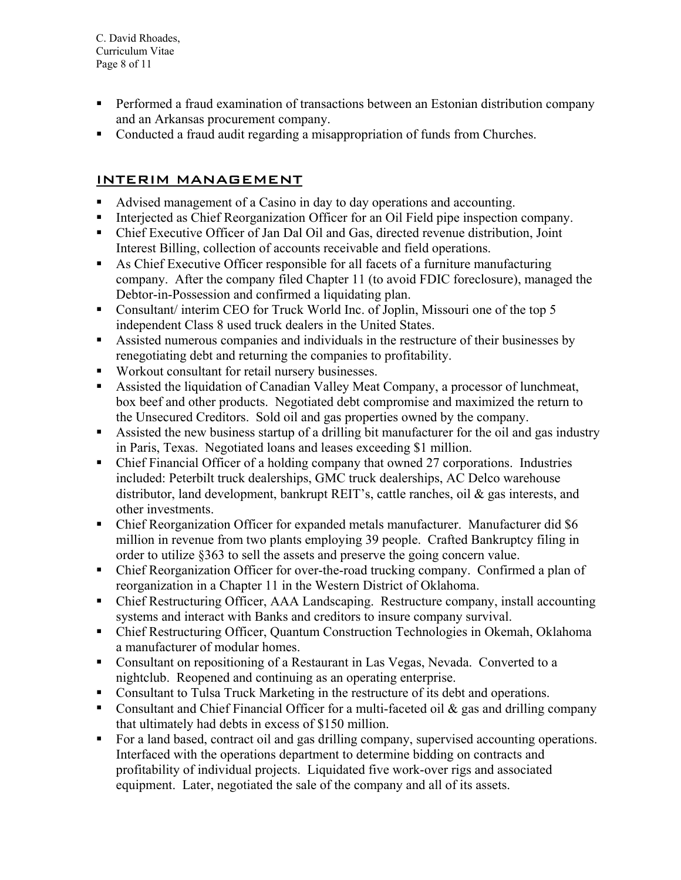C. David Rhoades, Curriculum Vitae Page 8 of 11

- **Performed a fraud examination of transactions between an Estonian distribution company** and an Arkansas procurement company.
- Conducted a fraud audit regarding a misappropriation of funds from Churches.

#### INTERIM MANAGEMENT

- Advised management of a Casino in day to day operations and accounting.
- Interjected as Chief Reorganization Officer for an Oil Field pipe inspection company.
- Chief Executive Officer of Jan Dal Oil and Gas, directed revenue distribution, Joint Interest Billing, collection of accounts receivable and field operations.
- As Chief Executive Officer responsible for all facets of a furniture manufacturing company. After the company filed Chapter 11 (to avoid FDIC foreclosure), managed the Debtor-in-Possession and confirmed a liquidating plan.
- Consultant/ interim CEO for Truck World Inc. of Joplin, Missouri one of the top 5 independent Class 8 used truck dealers in the United States.
- Assisted numerous companies and individuals in the restructure of their businesses by renegotiating debt and returning the companies to profitability.
- Workout consultant for retail nursery businesses.
- Assisted the liquidation of Canadian Valley Meat Company, a processor of lunchmeat, box beef and other products. Negotiated debt compromise and maximized the return to the Unsecured Creditors. Sold oil and gas properties owned by the company.
- Assisted the new business startup of a drilling bit manufacturer for the oil and gas industry in Paris, Texas. Negotiated loans and leases exceeding \$1 million.
- Chief Financial Officer of a holding company that owned 27 corporations. Industries included: Peterbilt truck dealerships, GMC truck dealerships, AC Delco warehouse distributor, land development, bankrupt REIT's, cattle ranches, oil & gas interests, and other investments.
- Chief Reorganization Officer for expanded metals manufacturer. Manufacturer did \$6 million in revenue from two plants employing 39 people. Crafted Bankruptcy filing in order to utilize §363 to sell the assets and preserve the going concern value.
- Chief Reorganization Officer for over-the-road trucking company. Confirmed a plan of reorganization in a Chapter 11 in the Western District of Oklahoma.
- Chief Restructuring Officer, AAA Landscaping. Restructure company, install accounting systems and interact with Banks and creditors to insure company survival.
- Chief Restructuring Officer, Quantum Construction Technologies in Okemah, Oklahoma a manufacturer of modular homes.
- Consultant on repositioning of a Restaurant in Las Vegas, Nevada. Converted to a nightclub. Reopened and continuing as an operating enterprise.
- Consultant to Tulsa Truck Marketing in the restructure of its debt and operations.
- Consultant and Chief Financial Officer for a multi-faceted oil  $\&$  gas and drilling company that ultimately had debts in excess of \$150 million.
- For a land based, contract oil and gas drilling company, supervised accounting operations. Interfaced with the operations department to determine bidding on contracts and profitability of individual projects. Liquidated five work-over rigs and associated equipment. Later, negotiated the sale of the company and all of its assets.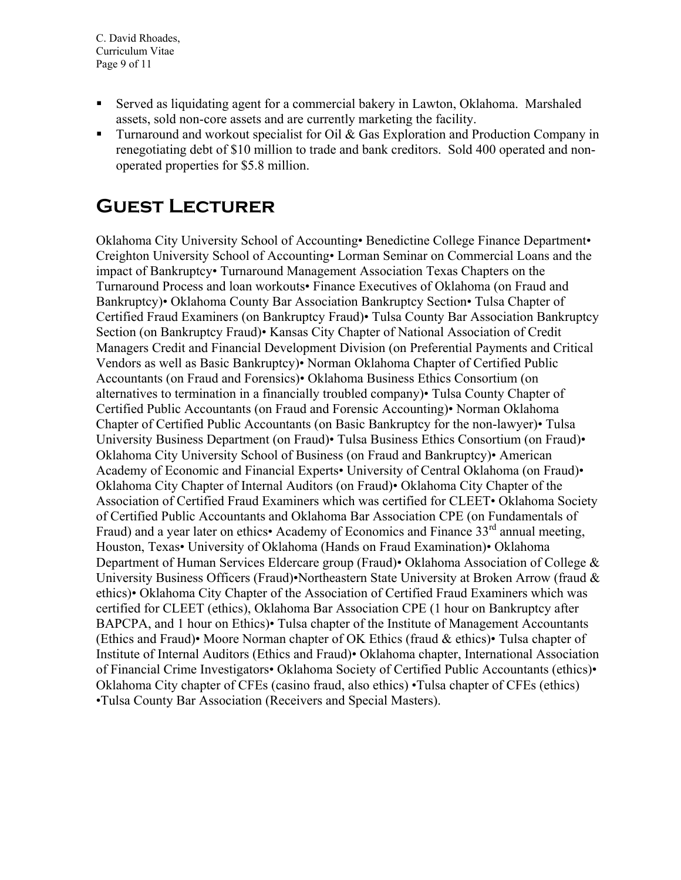- Served as liquidating agent for a commercial bakery in Lawton, Oklahoma. Marshaled assets, sold non-core assets and are currently marketing the facility.
- **Turnaround and workout specialist for Oil & Gas Exploration and Production Company in** renegotiating debt of \$10 million to trade and bank creditors. Sold 400 operated and nonoperated properties for \$5.8 million.

## **Guest Lecturer**

Oklahoma City University School of Accounting• Benedictine College Finance Department• Creighton University School of Accounting• Lorman Seminar on Commercial Loans and the impact of Bankruptcy• Turnaround Management Association Texas Chapters on the Turnaround Process and loan workouts• Finance Executives of Oklahoma (on Fraud and Bankruptcy)• Oklahoma County Bar Association Bankruptcy Section• Tulsa Chapter of Certified Fraud Examiners (on Bankruptcy Fraud)• Tulsa County Bar Association Bankruptcy Section (on Bankruptcy Fraud)• Kansas City Chapter of National Association of Credit Managers Credit and Financial Development Division (on Preferential Payments and Critical Vendors as well as Basic Bankruptcy)• Norman Oklahoma Chapter of Certified Public Accountants (on Fraud and Forensics)• Oklahoma Business Ethics Consortium (on alternatives to termination in a financially troubled company)• Tulsa County Chapter of Certified Public Accountants (on Fraud and Forensic Accounting)• Norman Oklahoma Chapter of Certified Public Accountants (on Basic Bankruptcy for the non-lawyer)• Tulsa University Business Department (on Fraud)• Tulsa Business Ethics Consortium (on Fraud)• Oklahoma City University School of Business (on Fraud and Bankruptcy)• American Academy of Economic and Financial Experts• University of Central Oklahoma (on Fraud)• Oklahoma City Chapter of Internal Auditors (on Fraud)• Oklahoma City Chapter of the Association of Certified Fraud Examiners which was certified for CLEET• Oklahoma Society of Certified Public Accountants and Oklahoma Bar Association CPE (on Fundamentals of Fraud) and a year later on ethics• Academy of Economics and Finance 33<sup>rd</sup> annual meeting, Houston, Texas• University of Oklahoma (Hands on Fraud Examination)• Oklahoma Department of Human Services Eldercare group (Fraud)• Oklahoma Association of College & University Business Officers (Fraud)•Northeastern State University at Broken Arrow (fraud & ethics)• Oklahoma City Chapter of the Association of Certified Fraud Examiners which was certified for CLEET (ethics), Oklahoma Bar Association CPE (1 hour on Bankruptcy after BAPCPA, and 1 hour on Ethics)• Tulsa chapter of the Institute of Management Accountants (Ethics and Fraud)• Moore Norman chapter of OK Ethics (fraud & ethics)• Tulsa chapter of Institute of Internal Auditors (Ethics and Fraud)• Oklahoma chapter, International Association of Financial Crime Investigators• Oklahoma Society of Certified Public Accountants (ethics)• Oklahoma City chapter of CFEs (casino fraud, also ethics) •Tulsa chapter of CFEs (ethics) •Tulsa County Bar Association (Receivers and Special Masters).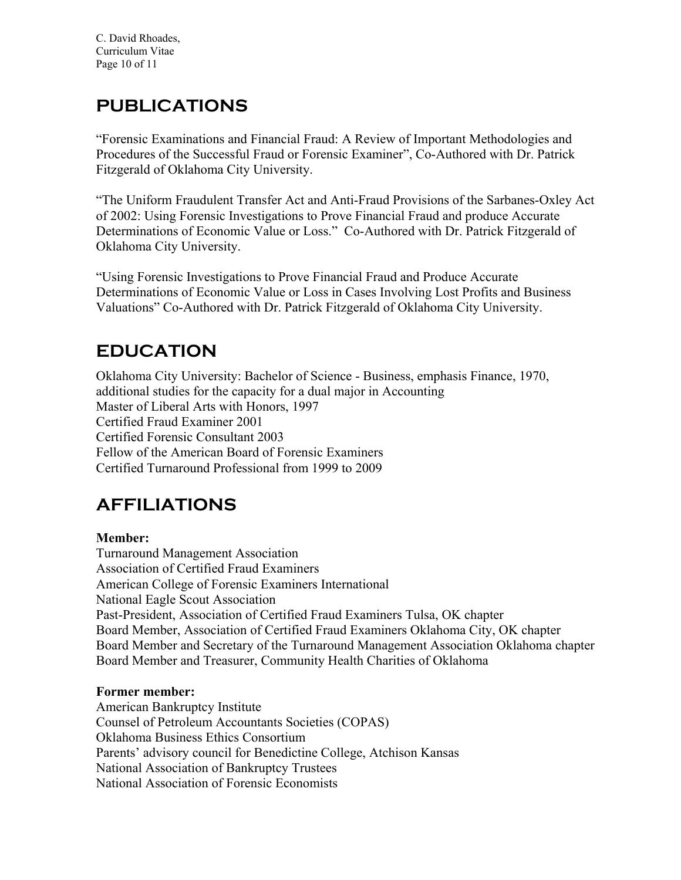## **PUBLICATIONS**

"Forensic Examinations and Financial Fraud: A Review of Important Methodologies and Procedures of the Successful Fraud or Forensic Examiner", Co-Authored with Dr. Patrick Fitzgerald of Oklahoma City University.

"The Uniform Fraudulent Transfer Act and Anti-Fraud Provisions of the Sarbanes-Oxley Act of 2002: Using Forensic Investigations to Prove Financial Fraud and produce Accurate Determinations of Economic Value or Loss." Co-Authored with Dr. Patrick Fitzgerald of Oklahoma City University.

"Using Forensic Investigations to Prove Financial Fraud and Produce Accurate Determinations of Economic Value or Loss in Cases Involving Lost Profits and Business Valuations" Co-Authored with Dr. Patrick Fitzgerald of Oklahoma City University.

## **EDUCATION**

Oklahoma City University: Bachelor of Science - Business, emphasis Finance, 1970, additional studies for the capacity for a dual major in Accounting Master of Liberal Arts with Honors, 1997 Certified Fraud Examiner 2001 Certified Forensic Consultant 2003 Fellow of the American Board of Forensic Examiners Certified Turnaround Professional from 1999 to 2009

## **AFFILIATIONS**

## **Member:**

Turnaround Management Association Association of Certified Fraud Examiners American College of Forensic Examiners International National Eagle Scout Association Past-President, Association of Certified Fraud Examiners Tulsa, OK chapter Board Member, Association of Certified Fraud Examiners Oklahoma City, OK chapter Board Member and Secretary of the Turnaround Management Association Oklahoma chapter Board Member and Treasurer, Community Health Charities of Oklahoma

#### **Former member:**

American Bankruptcy Institute Counsel of Petroleum Accountants Societies (COPAS) Oklahoma Business Ethics Consortium Parents' advisory council for Benedictine College, Atchison Kansas National Association of Bankruptcy Trustees National Association of Forensic Economists